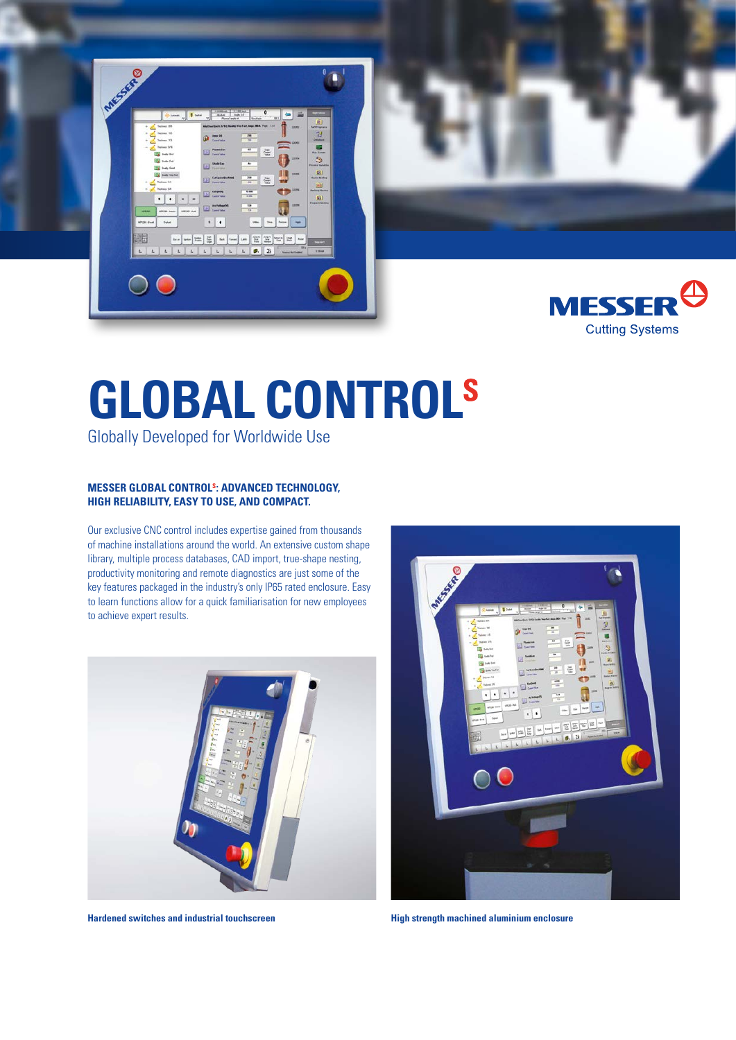



## **GLOBAL CONTROLS**

Globally Developed for Worldwide Use

#### **MESSER GLOBAL CONTROLS: ADVANCED TECHNOLOGY, HIGH RELIABILITY, EASY TO USE, AND COMPACT.**

Our exclusive CNC control includes expertise gained from thousands of machine installations around the world. An extensive custom shape library, multiple process databases, CAD import, true-shape nesting, productivity monitoring and remote diagnostics are just some of the key features packaged in the industry's only IP65 rated enclosure. Easy to learn functions allow for a quick familiarisation for new employees to achieve expert results.



**Hardened switches and industrial touchscreen High strength machined aluminium enclosure**